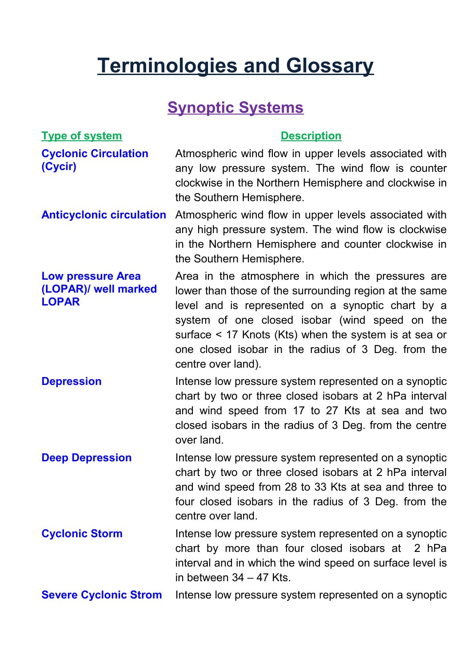# **Terminologies and Glossary**

## **Synoptic Systems**

| <b>Type of system</b>                                            | <b>Description</b>                                                                                                                                                                                                                                                                                                                                      |
|------------------------------------------------------------------|---------------------------------------------------------------------------------------------------------------------------------------------------------------------------------------------------------------------------------------------------------------------------------------------------------------------------------------------------------|
| <b>Cyclonic Circulation</b><br>(Cycir)                           | Atmospheric wind flow in upper levels associated with<br>any low pressure system. The wind flow is counter<br>clockwise in the Northern Hemisphere and clockwise in<br>the Southern Hemisphere.                                                                                                                                                         |
| <b>Anticyclonic circulation</b>                                  | Atmospheric wind flow in upper levels associated with<br>any high pressure system. The wind flow is clockwise<br>in the Northern Hemisphere and counter clockwise in<br>the Southern Hemisphere.                                                                                                                                                        |
| <b>Low pressure Area</b><br>(LOPAR)/ well marked<br><b>LOPAR</b> | Area in the atmosphere in which the pressures are<br>lower than those of the surrounding region at the same<br>level and is represented on a synoptic chart by a<br>system of one closed isobar (wind speed on the<br>surface < 17 Knots (Kts) when the system is at sea or<br>one closed isobar in the radius of 3 Deg. from the<br>centre over land). |
| <b>Depression</b>                                                | Intense low pressure system represented on a synoptic<br>chart by two or three closed isobars at 2 hPa interval<br>and wind speed from 17 to 27 Kts at sea and two<br>closed isobars in the radius of 3 Deg. from the centre<br>over land.                                                                                                              |
| <b>Deep Depression</b>                                           | Intense low pressure system represented on a synoptic<br>chart by two or three closed isobars at 2 hPa interval<br>and wind speed from 28 to 33 Kts at sea and three to<br>four closed isobars in the radius of 3 Deg. from the<br>centre over land.                                                                                                    |
| <b>Cyclonic Storm</b>                                            | Intense low pressure system represented on a synoptic<br>chart by more than four closed isobars at 2 hPa<br>interval and in which the wind speed on surface level is<br>in between $34 - 47$ Kts.                                                                                                                                                       |
| <b>Severe Cyclonic Strom</b>                                     | Intense low pressure system represented on a synoptic                                                                                                                                                                                                                                                                                                   |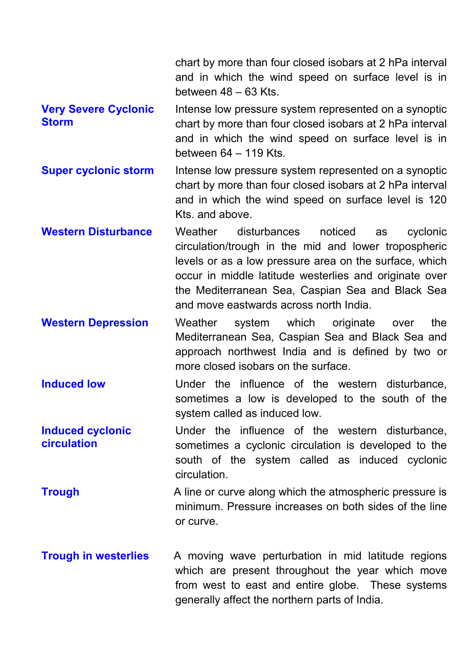|                                             | chart by more than four closed isobars at 2 hPa interval<br>and in which the wind speed on surface level is in<br>between $48 - 63$ Kts.                                                                                                                                                                                       |
|---------------------------------------------|--------------------------------------------------------------------------------------------------------------------------------------------------------------------------------------------------------------------------------------------------------------------------------------------------------------------------------|
| <b>Very Severe Cyclonic</b><br><b>Storm</b> | Intense low pressure system represented on a synoptic<br>chart by more than four closed isobars at 2 hPa interval<br>and in which the wind speed on surface level is in<br>between $64 - 119$ Kts.                                                                                                                             |
| <b>Super cyclonic storm</b>                 | Intense low pressure system represented on a synoptic<br>chart by more than four closed isobars at 2 hPa interval<br>and in which the wind speed on surface level is 120<br>Kts. and above.                                                                                                                                    |
| <b>Western Disturbance</b>                  | Weather<br>disturbances<br>noticed<br>cyclonic<br>as<br>circulation/trough in the mid and lower tropospheric<br>levels or as a low pressure area on the surface, which<br>occur in middle latitude westerlies and originate over<br>the Mediterranean Sea, Caspian Sea and Black Sea<br>and move eastwards across north India. |
| <b>Western Depression</b>                   | Weather system which originate<br>the<br>over<br>Mediterranean Sea, Caspian Sea and Black Sea and<br>approach northwest India and is defined by two or<br>more closed isobars on the surface.                                                                                                                                  |
| <b>Induced low</b>                          | Under the influence of the western disturbance,<br>sometimes a low is developed to the south of the<br>system called as induced low.                                                                                                                                                                                           |
| <b>Induced cyclonic</b><br>circulation      | Under the influence of the western disturbance,<br>sometimes a cyclonic circulation is developed to the<br>south of the system called as induced cyclonic<br>circulation.                                                                                                                                                      |
| <b>Trough</b>                               | A line or curve along which the atmospheric pressure is<br>minimum. Pressure increases on both sides of the line<br>or curve.                                                                                                                                                                                                  |
| <b>Trough in westerlies</b>                 | A moving wave perturbation in mid latitude regions<br>which are present throughout the year which move<br>from west to east and entire globe. These systems<br>generally affect the northern parts of India.                                                                                                                   |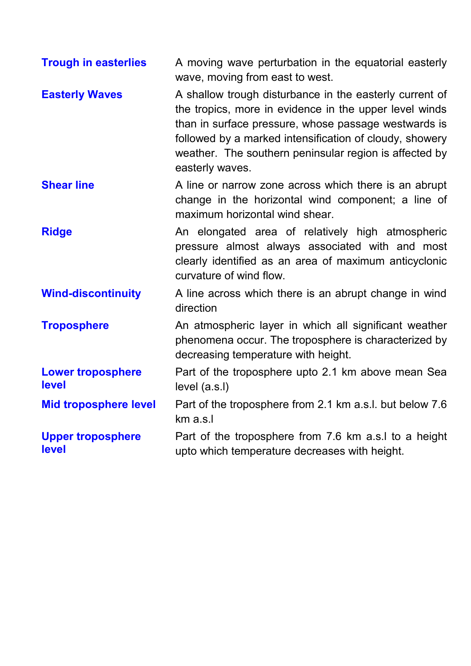| <b>Trough in easterlies</b>       | A moving wave perturbation in the equatorial easterly<br>wave, moving from east to west.                                                                                                                                                                                                                          |
|-----------------------------------|-------------------------------------------------------------------------------------------------------------------------------------------------------------------------------------------------------------------------------------------------------------------------------------------------------------------|
| <b>Easterly Waves</b>             | A shallow trough disturbance in the easterly current of<br>the tropics, more in evidence in the upper level winds<br>than in surface pressure, whose passage westwards is<br>followed by a marked intensification of cloudy, showery<br>weather. The southern peninsular region is affected by<br>easterly waves. |
| <b>Shear line</b>                 | A line or narrow zone across which there is an abrupt<br>change in the horizontal wind component; a line of<br>maximum horizontal wind shear.                                                                                                                                                                     |
| <b>Ridge</b>                      | An elongated area of relatively high atmospheric<br>pressure almost always associated with and most<br>clearly identified as an area of maximum anticyclonic<br>curvature of wind flow.                                                                                                                           |
| <b>Wind-discontinuity</b>         | A line across which there is an abrupt change in wind<br>direction                                                                                                                                                                                                                                                |
| <b>Troposphere</b>                | An atmospheric layer in which all significant weather<br>phenomena occur. The troposphere is characterized by<br>decreasing temperature with height.                                                                                                                                                              |
| <b>Lower troposphere</b><br>level | Part of the troposphere upto 2.1 km above mean Sea<br>level (a.s.l)                                                                                                                                                                                                                                               |
| <b>Mid troposphere level</b>      | Part of the troposphere from 2.1 km a.s.l. but below 7.6<br>km a.s.l                                                                                                                                                                                                                                              |
| <b>Upper troposphere</b><br>level | Part of the troposphere from 7.6 km a.s.l to a height<br>upto which temperature decreases with height.                                                                                                                                                                                                            |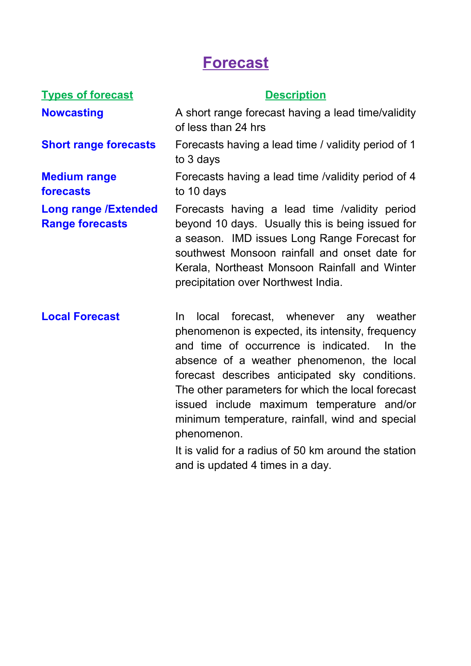## **Forecast**

### **Types of forecast Description Nowcasting** A short range forecast having a lead time/validity of less than 24 hrs **Short range forecasts** Forecasts having a lead time / validity period of 1 to 3 days **Medium range forecasts**  to 10 days **Long range /Extended Range forecasts** Forecasts having a lead time /validity period beyond 10 days. Usually this is being issued for a season. IMD issues Long Range Forecast for southwest Monsoon rainfall and onset date for Kerala, Northeast Monsoon Rainfall and Winter precipitation over Northwest India.

**Local Forecast** In local forecast, whenever any weather phenomenon is expected, its intensity, frequency and time of occurrence is indicated. In the absence of a weather phenomenon, the local forecast describes anticipated sky conditions. The other parameters for which the local forecast issued include maximum temperature and/or minimum temperature, rainfall, wind and special phenomenon. It is valid for a radius of 50 km around the station and is updated 4 times in a day.

Forecasts having a lead time /validity period of 4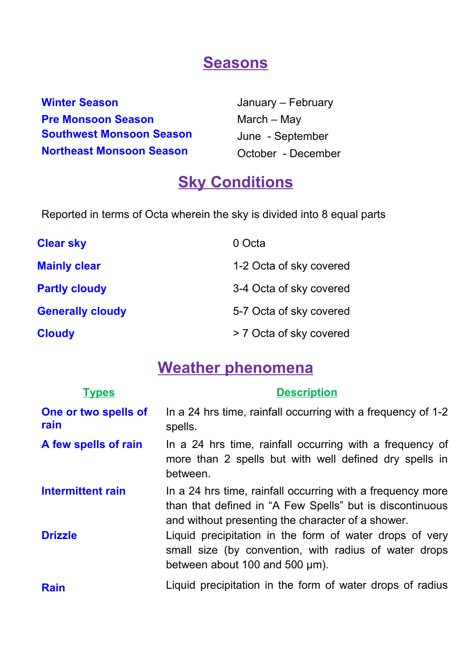## **Seasons**

**Winter Season Pre Monsoon Season Southwest Monsoon Season Northeast Monsoon Season**

January – February March – May June - September October - December

## **Sky Conditions**

Reported in terms of Octa wherein the sky is divided into 8 equal parts

| <b>Clear sky</b>        | 0 Octa                  |
|-------------------------|-------------------------|
| <b>Mainly clear</b>     | 1-2 Octa of sky covered |
| <b>Partly cloudy</b>    | 3-4 Octa of sky covered |
| <b>Generally cloudy</b> | 5-7 Octa of sky covered |
| <b>Cloudy</b>           | > 7 Octa of sky covered |

## **Weather phenomena**

| <b>Types</b>                 | <b>Description</b>                                                                                                                                                          |
|------------------------------|-----------------------------------------------------------------------------------------------------------------------------------------------------------------------------|
| One or two spells of<br>rain | In a 24 hrs time, rainfall occurring with a frequency of 1-2<br>spells.                                                                                                     |
| A few spells of rain         | In a 24 hrs time, rainfall occurring with a frequency of<br>more than 2 spells but with well defined dry spells in<br>between.                                              |
| Intermittent rain            | In a 24 hrs time, rainfall occurring with a frequency more<br>than that defined in "A Few Spells" but is discontinuous<br>and without presenting the character of a shower. |
| <b>Drizzle</b>               | Liquid precipitation in the form of water drops of very<br>small size (by convention, with radius of water drops<br>between about 100 and 500 $\mu$ m).                     |
| <b>Rain</b>                  | Liquid precipitation in the form of water drops of radius                                                                                                                   |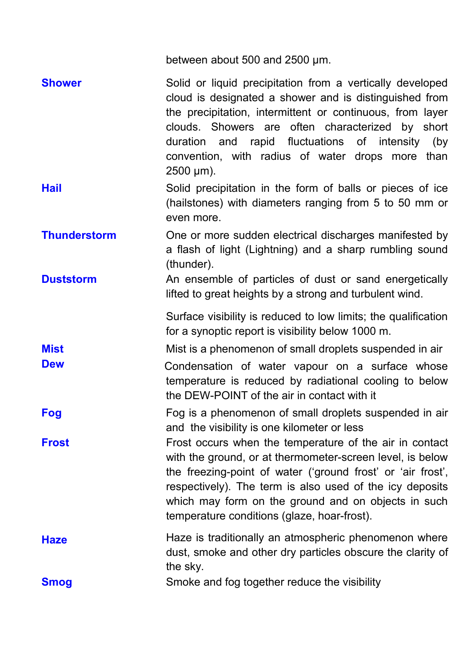|                     | between about 500 and 2500 µm.                                                                                                                                                                                                                                                                                                                                  |
|---------------------|-----------------------------------------------------------------------------------------------------------------------------------------------------------------------------------------------------------------------------------------------------------------------------------------------------------------------------------------------------------------|
| <b>Shower</b>       | Solid or liquid precipitation from a vertically developed<br>cloud is designated a shower and is distinguished from<br>the precipitation, intermittent or continuous, from layer<br>clouds. Showers are often characterized by short<br>duration and rapid fluctuations of intensity (by<br>convention, with radius of water drops more than<br>$2500 \mu m$ ). |
| <b>Hail</b>         | Solid precipitation in the form of balls or pieces of ice<br>(hailstones) with diameters ranging from 5 to 50 mm or<br>even more.                                                                                                                                                                                                                               |
| <b>Thunderstorm</b> | One or more sudden electrical discharges manifested by<br>a flash of light (Lightning) and a sharp rumbling sound<br>(thunder).                                                                                                                                                                                                                                 |
| <b>Duststorm</b>    | An ensemble of particles of dust or sand energetically<br>lifted to great heights by a strong and turbulent wind.                                                                                                                                                                                                                                               |
|                     | Surface visibility is reduced to low limits; the qualification<br>for a synoptic report is visibility below 1000 m.                                                                                                                                                                                                                                             |
| <b>Mist</b>         | Mist is a phenomenon of small droplets suspended in air                                                                                                                                                                                                                                                                                                         |
| <b>Dew</b>          | Condensation of water vapour on a surface whose<br>temperature is reduced by radiational cooling to below<br>the DEW-POINT of the air in contact with it                                                                                                                                                                                                        |
| Fog                 | Fog is a phenomenon of small droplets suspended in air<br>and the visibility is one kilometer or less                                                                                                                                                                                                                                                           |
| <b>Frost</b>        | Frost occurs when the temperature of the air in contact<br>with the ground, or at thermometer-screen level, is below<br>the freezing-point of water ('ground frost' or 'air frost',<br>respectively). The term is also used of the icy deposits<br>which may form on the ground and on objects in such<br>temperature conditions (glaze, hoar-frost).           |
| <b>Haze</b>         | Haze is traditionally an atmospheric phenomenon where<br>dust, smoke and other dry particles obscure the clarity of<br>the sky.                                                                                                                                                                                                                                 |
| <b>Smog</b>         | Smoke and fog together reduce the visibility                                                                                                                                                                                                                                                                                                                    |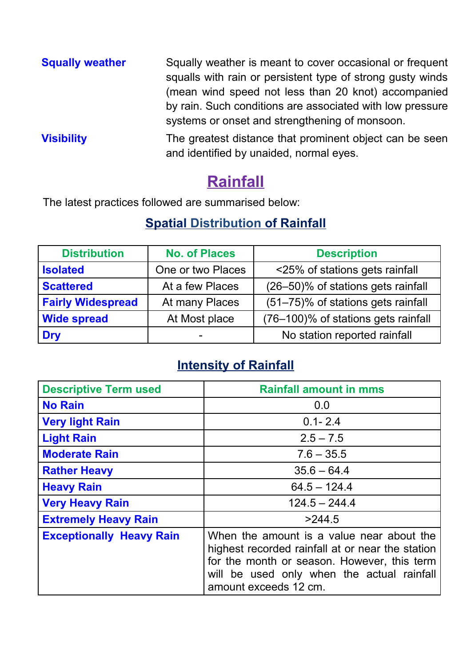| <b>Squally weather</b> | Squally weather is meant to cover occasional or frequent<br>squalls with rain or persistent type of strong gusty winds<br>(mean wind speed not less than 20 knot) accompanied |  |
|------------------------|-------------------------------------------------------------------------------------------------------------------------------------------------------------------------------|--|
|                        | by rain. Such conditions are associated with low pressure<br>systems or onset and strengthening of monsoon.                                                                   |  |
| <b>Visibility</b>      | The greatest distance that prominent object can be seen<br>and identified by unaided, normal eyes.                                                                            |  |

## **Rainfall**

The latest practices followed are summarised below:

## **Spatial Distribution of Rainfall**

| <b>Distribution</b>      | <b>No. of Places</b> | <b>Description</b>                  |
|--------------------------|----------------------|-------------------------------------|
| <b>Isolated</b>          | One or two Places    | <25% of stations gets rainfall      |
| <b>Scattered</b>         | At a few Places      | (26-50)% of stations gets rainfall  |
| <b>Fairly Widespread</b> | At many Places       | (51-75)% of stations gets rainfall  |
| <b>Wide spread</b>       | At Most place        | (76-100)% of stations gets rainfall |
| <b>Dry</b>               | -                    | No station reported rainfall        |

## **Intensity of Rainfall**

| <b>Descriptive Term used</b>    | <b>Rainfall amount in mms</b>                                                                                                                                                                                       |
|---------------------------------|---------------------------------------------------------------------------------------------------------------------------------------------------------------------------------------------------------------------|
| <b>No Rain</b>                  | 0.0                                                                                                                                                                                                                 |
| <b>Very light Rain</b>          | $0.1 - 2.4$                                                                                                                                                                                                         |
| <b>Light Rain</b>               | $2.5 - 7.5$                                                                                                                                                                                                         |
| <b>Moderate Rain</b>            | $7.6 - 35.5$                                                                                                                                                                                                        |
| <b>Rather Heavy</b>             | $35.6 - 64.4$                                                                                                                                                                                                       |
| <b>Heavy Rain</b>               | $64.5 - 124.4$                                                                                                                                                                                                      |
| <b>Very Heavy Rain</b>          | $124.5 - 244.4$                                                                                                                                                                                                     |
| <b>Extremely Heavy Rain</b>     | >244.5                                                                                                                                                                                                              |
| <b>Exceptionally Heavy Rain</b> | When the amount is a value near about the<br>highest recorded rainfall at or near the station<br>for the month or season. However, this term<br>will be used only when the actual rainfall<br>amount exceeds 12 cm. |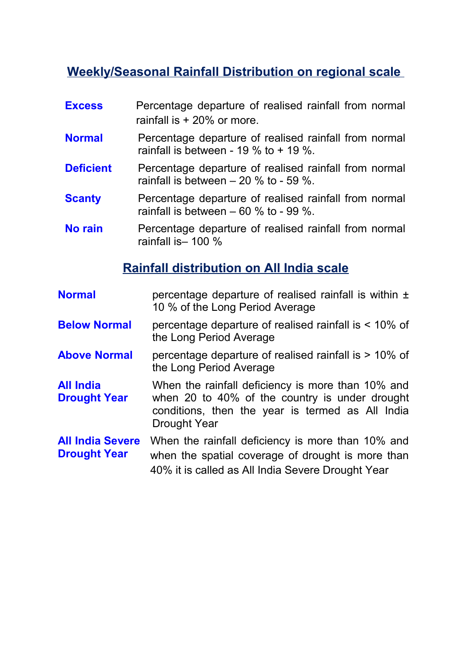## **Weekly/Seasonal Rainfall Distribution on regional scale**

- **Excess** Percentage departure of realised rainfall from normal rainfall is + 20% or more.
- **Normal** Percentage departure of realised rainfall from normal rainfall is between - 19 % to  $+$  19 %.
- **Deficient** Percentage departure of realised rainfall from normal rainfall is between  $-20\%$  to - 59 %.
- **Scanty** Percentage departure of realised rainfall from normal rainfall is between  $-60\%$  to  $-99\%$ .
- **No rain** Percentage departure of realised rainfall from normal rainfall is– 100 %

## **Rainfall distribution on All India scale**

- **Normal EXECUTE:** percentage departure of realised rainfall is within  $\pm$ 10 % of the Long Period Average
- **Below Normal** percentage departure of realised rainfall is < 10% of the Long Period Average
- **Above Normal** percentage departure of realised rainfall is > 10% of the Long Period Average
- **All India Drought Year** When the rainfall deficiency is more than 10% and when 20 to 40% of the country is under drought conditions, then the year is termed as All India Drought Year
- **All India Severe Drought Year** When the rainfall deficiency is more than 10% and when the spatial coverage of drought is more than 40% it is called as All India Severe Drought Year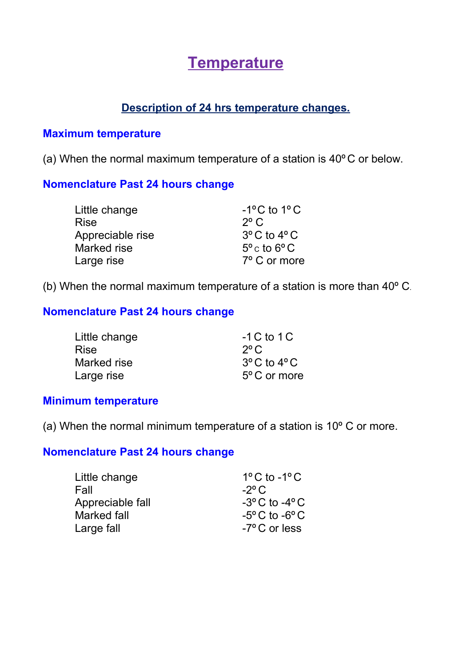## **Temperature**

### **Description of 24 hrs temperature changes.**

#### **Maximum temperature**

(a) When the normal maximum temperature of a station is 40º C or below.

#### **Nomenclature Past 24 hours change**

| Little change    | $-1$ <sup>o</sup> C to $1$ <sup>o</sup> C |
|------------------|-------------------------------------------|
| <b>Rise</b>      | $2^{\circ}$ C                             |
| Appreciable rise | $3^{\circ}$ C to $4^{\circ}$ C            |
| Marked rise      | $5^{\circ}$ c to 6 $^{\circ}$ C           |
| Large rise       | 7° C or more                              |

(b) When the normal maximum temperature of a station is more than 40º C.

### **Nomenclature Past 24 hours change**

| Little change | $-1 C$ to 1 C                   |
|---------------|---------------------------------|
| <b>Rise</b>   | $2^{\circ}$ C                   |
| Marked rise   | $3^{\circ}$ C to 4 $^{\circ}$ C |
| Large rise    | 5° C or more                    |

#### **Minimum temperature**

(a) When the normal minimum temperature of a station is 10º C or more.

#### **Nomenclature Past 24 hours change**

| Little change    | $1^{\circ}$ C to -1 $^{\circ}$ C |
|------------------|----------------------------------|
| Fall             | $-2^{\circ}$ C                   |
| Appreciable fall | $-3^{\circ}$ C to $-4^{\circ}$ C |
| Marked fall      | $-5^{\circ}$ C to $-6^{\circ}$ C |
| Large fall       | $-7^{\circ}$ C or less           |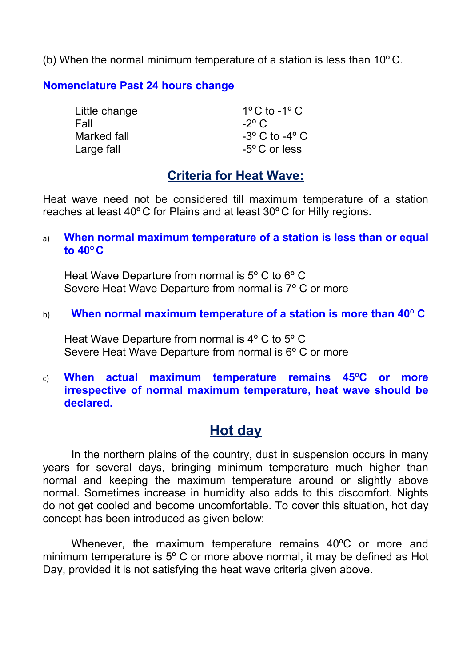(b) When the normal minimum temperature of a station is less than 10º C.

#### **Nomenclature Past 24 hours change**

| Little change | $1^{\circ}$ C to -1 $^{\circ}$ C |
|---------------|----------------------------------|
| Fall          | $-2^{\circ}$ C                   |
| Marked fall   | $-3^{\circ}$ C to $-4^{\circ}$ C |
| Large fall    | $-5^{\circ}$ C or less           |

### **Criteria for Heat Wave:**

Heat wave need not be considered till maximum temperature of a station reaches at least 40º C for Plains and at least 30º C for Hilly regions.

a) **When normal maximum temperature of a station is less than or equal to 40**º **C**

Heat Wave Departure from normal is 5º C to 6º C Severe Heat Wave Departure from normal is 7º C or more

b) **When normal maximum temperature of a station is more than 40**º **C**

Heat Wave Departure from normal is 4º C to 5º C Severe Heat Wave Departure from normal is 6º C or more

c) **When actual maximum temperature remains 45**º**C or more irrespective of normal maximum temperature, heat wave should be declared.**

## **Hot day**

In the northern plains of the country, dust in suspension occurs in many years for several days, bringing minimum temperature much higher than normal and keeping the maximum temperature around or slightly above normal. Sometimes increase in humidity also adds to this discomfort. Nights do not get cooled and become uncomfortable. To cover this situation, hot day concept has been introduced as given below:

Whenever, the maximum temperature remains 40ºC or more and minimum temperature is 5º C or more above normal, it may be defined as Hot Day, provided it is not satisfying the heat wave criteria given above.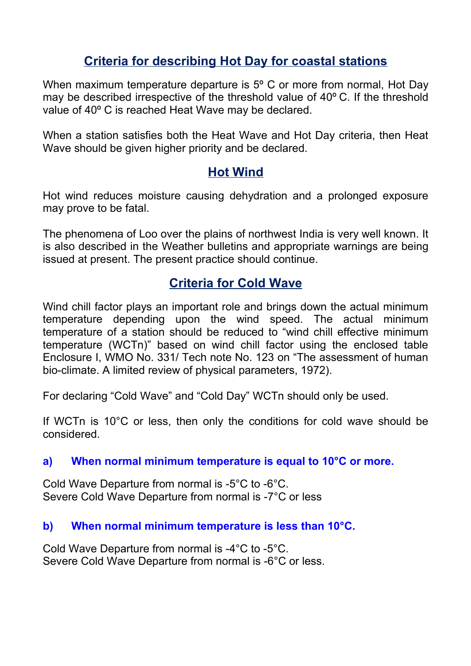## **Criteria for describing Hot Day for coastal stations**

When maximum temperature departure is 5º C or more from normal, Hot Day may be described irrespective of the threshold value of 40º C. If the threshold value of 40º C is reached Heat Wave may be declared.

When a station satisfies both the Heat Wave and Hot Day criteria, then Heat Wave should be given higher priority and be declared.

## **Hot Wind**

Hot wind reduces moisture causing dehydration and a prolonged exposure may prove to be fatal.

The phenomena of Loo over the plains of northwest India is very well known. It is also described in the Weather bulletins and appropriate warnings are being issued at present. The present practice should continue.

## **Criteria for Cold Wave**

Wind chill factor plays an important role and brings down the actual minimum temperature depending upon the wind speed. The actual minimum temperature of a station should be reduced to "wind chill effective minimum temperature (WCTn)" based on wind chill factor using the enclosed table Enclosure I, WMO No. 331/ Tech note No. 123 on "The assessment of human bio-climate. A limited review of physical parameters, 1972).

For declaring "Cold Wave" and "Cold Day" WCTn should only be used.

If WCTn is 10°C or less, then only the conditions for cold wave should be considered.

#### **a) When normal minimum temperature is equal to 10°C or more.**

Cold Wave Departure from normal is -5°C to -6°C. Severe Cold Wave Departure from normal is -7°C or less

#### **b) When normal minimum temperature is less than 10°C.**

Cold Wave Departure from normal is -4°C to -5°C. Severe Cold Wave Departure from normal is -6°C or less.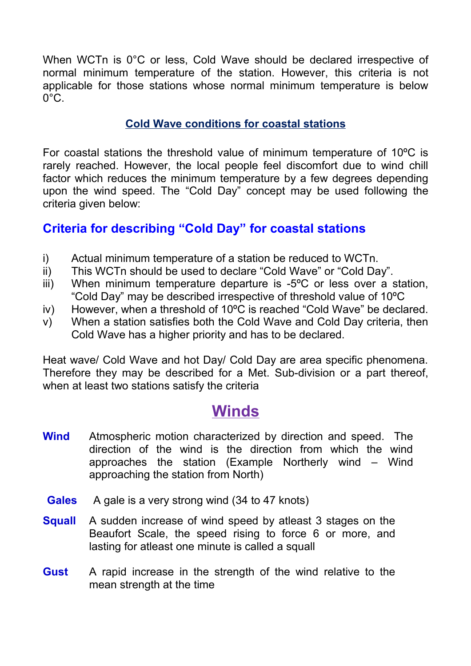When WCTn is 0°C or less, Cold Wave should be declared irrespective of normal minimum temperature of the station. However, this criteria is not applicable for those stations whose normal minimum temperature is below  $0^{\circ}$ C.

#### **Cold Wave conditions for coastal stations**

For coastal stations the threshold value of minimum temperature of 10ºC is rarely reached. However, the local people feel discomfort due to wind chill factor which reduces the minimum temperature by a few degrees depending upon the wind speed. The "Cold Day" concept may be used following the criteria given below:

### **Criteria for describing "Cold Day" for coastal stations**

- i) Actual minimum temperature of a station be reduced to WCTn.
- ii) This WCTn should be used to declare "Cold Wave" or "Cold Day".
- iii) When minimum temperature departure is -5ºC or less over a station, "Cold Day" may be described irrespective of threshold value of 10ºC
- iv) However, when a threshold of 10ºC is reached "Cold Wave" be declared.
- v) When a station satisfies both the Cold Wave and Cold Day criteria, then Cold Wave has a higher priority and has to be declared.

Heat wave/ Cold Wave and hot Day/ Cold Day are area specific phenomena. Therefore they may be described for a Met. Sub-division or a part thereof, when at least two stations satisfy the criteria

## **Winds**

- **Wind** Atmospheric motion characterized by direction and speed. The direction of the wind is the direction from which the wind approaches the station (Example Northerly wind – Wind approaching the station from North)
- **Gales** A gale is a very strong wind (34 to 47 knots)
- **Squall** A sudden increase of wind speed by atleast 3 stages on the Beaufort Scale, the speed rising to force 6 or more, and lasting for atleast one minute is called a squall
- **Gust** A rapid increase in the strength of the wind relative to the mean strength at the time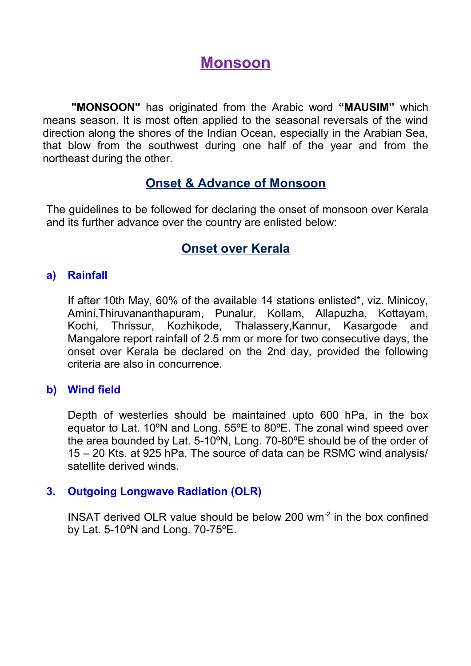## **Monsoon**

**"MONSOON"** has originated from the Arabic word **"MAUSIM"** which means season. It is most often applied to the seasonal reversals of the wind direction along the shores of the Indian Ocean, especially in the Arabian Sea, that blow from the southwest during one half of the year and from the northeast during the other.

### **Onset & Advance of Monsoon**

The guidelines to be followed for declaring the onset of monsoon over Kerala and its further advance over the country are enlisted below:

## **Onset over Kerala**

#### **a) Rainfall**

If after 10th May, 60% of the available 14 stations enlisted\*, viz. Minicoy, Amini,Thiruvananthapuram, Punalur, Kollam, Allapuzha, Kottayam, Kochi, Thrissur, Kozhikode, Thalassery,Kannur, Kasargode and Mangalore report rainfall of 2.5 mm or more for two consecutive days, the onset over Kerala be declared on the 2nd day, provided the following criteria are also in concurrence.

#### **b) Wind field**

Depth of westerlies should be maintained upto 600 hPa, in the box equator to Lat. 10ºN and Long. 55ºE to 80ºE. The zonal wind speed over the area bounded by Lat. 5-10ºN, Long. 70-80ºE should be of the order of 15 – 20 Kts. at 925 hPa. The source of data can be RSMC wind analysis/ satellite derived winds.

#### **3. Outgoing Longwave Radiation (OLR)**

INSAT derived OLR value should be below 200 wm-2 in the box confined by Lat. 5-10ºN and Long. 70-75ºE.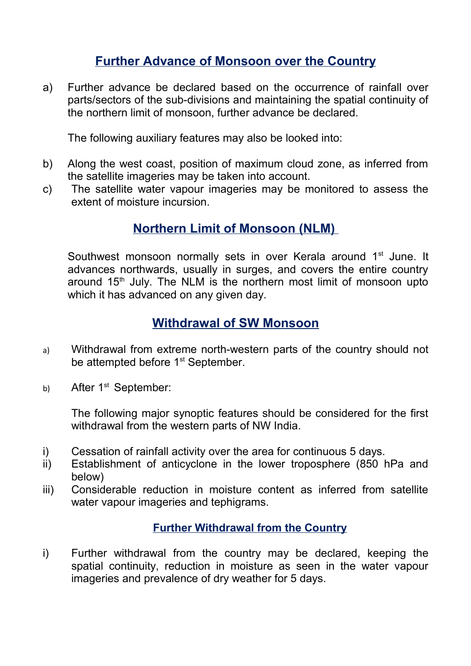## **Further Advance of Monsoon over the Country**

a) Further advance be declared based on the occurrence of rainfall over parts/sectors of the sub-divisions and maintaining the spatial continuity of the northern limit of monsoon, further advance be declared.

The following auxiliary features may also be looked into:

- b) Along the west coast, position of maximum cloud zone, as inferred from the satellite imageries may be taken into account.
- c) The satellite water vapour imageries may be monitored to assess the extent of moisture incursion.

## **Northern Limit of Monsoon (NLM)**

Southwest monsoon normally sets in over Kerala around 1<sup>st</sup> June. It advances northwards, usually in surges, and covers the entire country around  $15<sup>th</sup>$  July. The NLM is the northern most limit of monsoon upto which it has advanced on any given day.

### **Withdrawal of SW Monsoon**

- a) Withdrawal from extreme north-western parts of the country should not be attempted before 1<sup>st</sup> September.
- b) After 1<sup>st</sup> September:

The following major synoptic features should be considered for the first withdrawal from the western parts of NW India.

- i) Cessation of rainfall activity over the area for continuous 5 days.
- ii) Establishment of anticyclone in the lower troposphere (850 hPa and below)
- iii) Considerable reduction in moisture content as inferred from satellite water vapour imageries and tephigrams.

### **Further Withdrawal from the Country**

i) Further withdrawal from the country may be declared, keeping the spatial continuity, reduction in moisture as seen in the water vapour imageries and prevalence of dry weather for 5 days.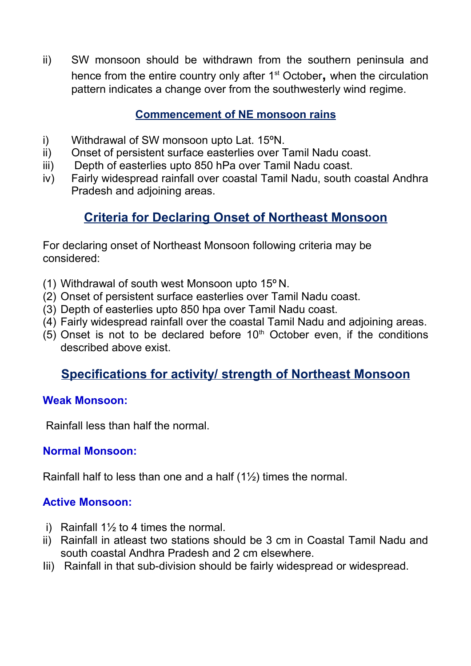ii) SW monsoon should be withdrawn from the southern peninsula and hence from the entire country only after 1st October**,** when the circulation pattern indicates a change over from the southwesterly wind regime.

### **Commencement of NE monsoon rains**

- i) Withdrawal of SW monsoon upto Lat. 15ºN.
- ii) Onset of persistent surface easterlies over Tamil Nadu coast.
- iii) Depth of easterlies upto 850 hPa over Tamil Nadu coast.
- iv) Fairly widespread rainfall over coastal Tamil Nadu, south coastal Andhra Pradesh and adjoining areas.

## **Criteria for Declaring Onset of Northeast Monsoon**

For declaring onset of Northeast Monsoon following criteria may be considered:

- (1) Withdrawal of south west Monsoon upto 15º N.
- (2) Onset of persistent surface easterlies over Tamil Nadu coast.
- (3) Depth of easterlies upto 850 hpa over Tamil Nadu coast.
- (4) Fairly widespread rainfall over the coastal Tamil Nadu and adjoining areas.
- $(5)$  Onset is not to be declared before 10<sup>th</sup> October even, if the conditions described above exist.

## **Specifications for activity/ strength of Northeast Monsoon**

### **Weak Monsoon:**

Rainfall less than half the normal.

### **Normal Monsoon:**

Rainfall half to less than one and a half (1½) times the normal.

### **Active Monsoon:**

- i) Rainfall  $1\frac{1}{2}$  to 4 times the normal.
- ii) Rainfall in atleast two stations should be 3 cm in Coastal Tamil Nadu and south coastal Andhra Pradesh and 2 cm elsewhere.
- Iii) Rainfall in that sub-division should be fairly widespread or widespread.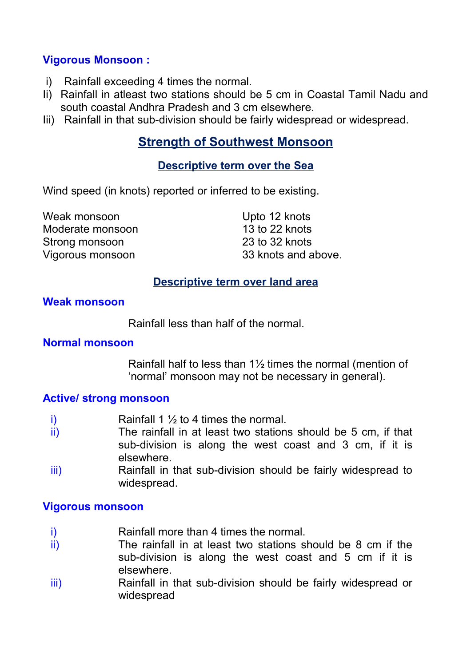#### **Vigorous Monsoon :**

- i) Rainfall exceeding 4 times the normal.
- Ii) Rainfall in atleast two stations should be 5 cm in Coastal Tamil Nadu and south coastal Andhra Pradesh and 3 cm elsewhere.
- Iii) Rainfall in that sub-division should be fairly widespread or widespread.

## **Strength of Southwest Monsoon**

#### **Descriptive term over the Sea**

Wind speed (in knots) reported or inferred to be existing.

| Upto 12 knots       |
|---------------------|
| 13 to 22 knots      |
| 23 to 32 knots      |
| 33 knots and above. |
|                     |

#### **Descriptive term over land area**

#### **Weak monsoon**

Rainfall less than half of the normal.

#### **Normal monsoon**

Rainfall half to less than 1½ times the normal (mention of 'normal' monsoon may not be necessary in general).

#### **Active/ strong monsoon**

- i) Rainfall 1  $\frac{1}{2}$  to 4 times the normal.
- ii) The rainfall in at least two stations should be 5 cm, if that sub-division is along the west coast and 3 cm, if it is elsewhere.
- iii) Rainfall in that sub-division should be fairly widespread to widespread.

#### **Vigorous monsoon**

- i) Rainfall more than 4 times the normal.
- ii) The rainfall in at least two stations should be 8 cm if the sub-division is along the west coast and 5 cm if it is elsewhere.
- iii) Rainfall in that sub-division should be fairly widespread or widespread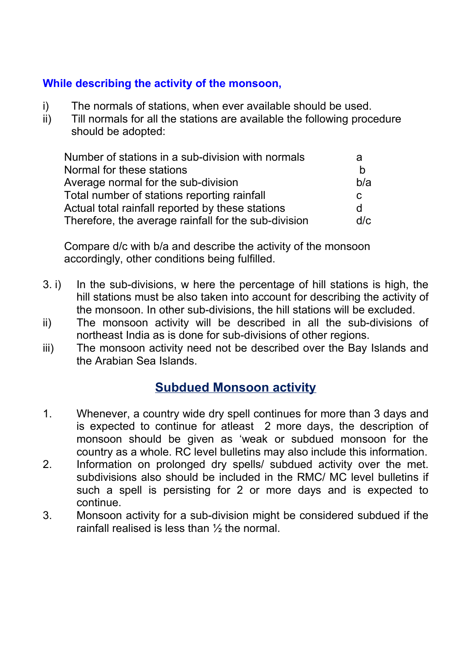#### **While describing the activity of the monsoon,**

- i) The normals of stations, when ever available should be used.
- ii) Till normals for all the stations are available the following procedure should be adopted:

| Number of stations in a sub-division with normals    | a   |
|------------------------------------------------------|-----|
| Normal for these stations                            | n   |
| Average normal for the sub-division                  | b/a |
| Total number of stations reporting rainfall          | C   |
| Actual total rainfall reported by these stations     | d   |
| Therefore, the average rainfall for the sub-division | d/c |

Compare d/c with b/a and describe the activity of the monsoon accordingly, other conditions being fulfilled.

- 3. i) In the sub-divisions, w here the percentage of hill stations is high, the hill stations must be also taken into account for describing the activity of the monsoon. In other sub-divisions, the hill stations will be excluded.
- ii) The monsoon activity will be described in all the sub-divisions of northeast India as is done for sub-divisions of other regions.
- iii) The monsoon activity need not be described over the Bay Islands and the Arabian Sea Islands.

### **Subdued Monsoon activity**

- 1. Whenever, a country wide dry spell continues for more than 3 days and is expected to continue for atleast 2 more days, the description of monsoon should be given as 'weak or subdued monsoon for the country as a whole. RC level bulletins may also include this information.
- 2. Information on prolonged dry spells/ subdued activity over the met. subdivisions also should be included in the RMC/ MC level bulletins if such a spell is persisting for 2 or more days and is expected to continue.
- 3. Monsoon activity for a sub-division might be considered subdued if the rainfall realised is less than ½ the normal.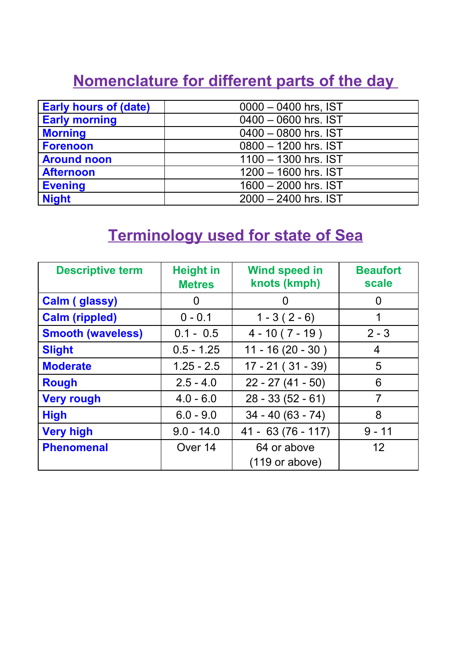## **Nomenclature for different parts of the day**

| <b>Early hours of (date)</b> | $0000 - 0400$ hrs, IST |
|------------------------------|------------------------|
| <b>Early morning</b>         | 0400 - 0600 hrs. IST   |
| <b>Morning</b>               | 0400 - 0800 hrs. IST   |
| <b>Forenoon</b>              | 0800 - 1200 hrs. IST   |
| <b>Around noon</b>           | 1100 - 1300 hrs. IST   |
| <b>Afternoon</b>             | 1200 - 1600 hrs. IST   |
| <b>Evening</b>               | 1600 - 2000 hrs. IST   |
| <b>Night</b>                 | 2000 - 2400 hrs. IST   |

## **Terminology used for state of Sea**

| <b>Descriptive term</b>  | <b>Height in</b><br><b>Metres</b> | <b>Wind speed in</b><br>knots (kmph)    | <b>Beaufort</b><br>scale |
|--------------------------|-----------------------------------|-----------------------------------------|--------------------------|
| <b>Calm (glassy)</b>     | O                                 | 0                                       | $\mathbf{I}$             |
| <b>Calm (rippled)</b>    | $0 - 0.1$                         | $1 - 3(2 - 6)$                          |                          |
| <b>Smooth (waveless)</b> | $0.1 - 0.5$                       | $4 - 10(7 - 19)$                        | $2 - 3$                  |
| <b>Slight</b>            | $0.5 - 1.25$                      | $11 - 16(20 - 30)$                      | 4                        |
| <b>Moderate</b>          | $1.25 - 2.5$                      | $17 - 21 (31 - 39)$                     | 5                        |
| <b>Rough</b>             | $2.5 - 4.0$                       | $22 - 27(41 - 50)$                      | 6                        |
| <b>Very rough</b>        | $4.0 - 6.0$                       | $28 - 33(52 - 61)$                      | $\overline{7}$           |
| <b>High</b>              | $6.0 - 9.0$                       | $34 - 40(63 - 74)$                      | 8                        |
| <b>Very high</b>         | $9.0 - 14.0$                      | $41 - 63(76 - 117)$                     | $9 - 11$                 |
| <b>Phenomenal</b>        | Over 14                           | 64 or above<br>$(119 \text{ or above})$ | 12                       |